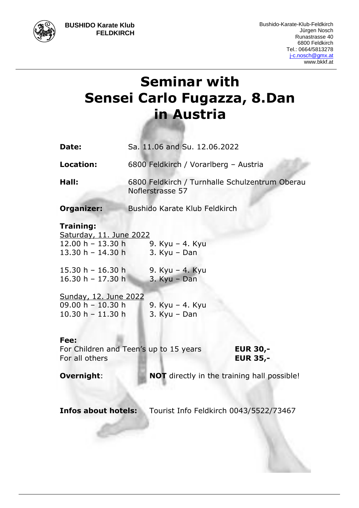**BUSHIDO Karate Klub FELDKIRCH**

# **Seminar with Sensei Carlo Fugazza, 8.Dan in Austria**

| Date:                                       | Sa. 11.06 and Su. 12.06.2022                                       |
|---------------------------------------------|--------------------------------------------------------------------|
| Location:                                   | 6800 Feldkirch / Vorarlberg - Austria                              |
| Hall:                                       | 6800 Feldkirch / Turnhalle Schulzentrum Oberau<br>Noflerstrasse 57 |
| <b>Organizer:</b>                           | <b>Bushido Karate Klub Feldkirch</b>                               |
| <b>Training:</b><br>Saturday, 11. June 2022 |                                                                    |

13.30 h – 14.30 h 3. Kyu – Dan

15.30 h - 16.30 h 9. Kyu - 4. Kyu 16.30 h – 17.30 h 3. Kyu – Dan

12.00 h – 13.30 h 9. Kyu – 4. Kyu

Sunday, 12. June 2022 09.00 h – 10.30 h 9. Kyu – 4. Kyu 10.30 h – 11.30 h 3. Kyu – Dan

## **Fee:**

For Children and Teen's up to 15 years **EUR 30,-** For all others **EUR 35,-**

**Overnight: NOT** directly in the training hall possible!

**Infos about hotels:** Tourist Info Feldkirch 0043/5522/73467